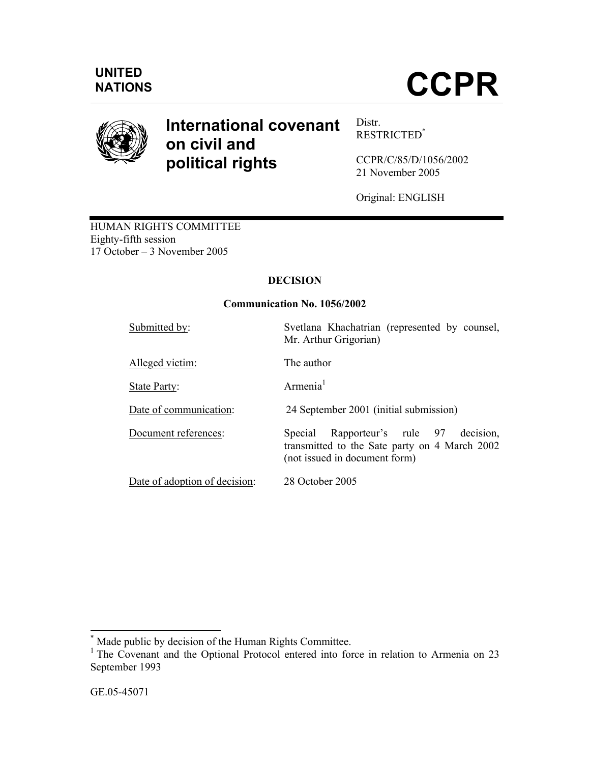

# **International covenant on civil and political rights**

Distr. RESTRICTED\*

CCPR/C/85/D/1056/2002 21 November 2005

Original: ENGLISH

HUMAN RIGHTS COMMITTEE Eighty-fifth session 17 October – 3 November 2005

# **DECISION**

## **Communication No. 1056/2002**

| Submitted by:                 | Svetlana Khachatrian (represented by counsel,<br>Mr. Arthur Grigorian)                                                         |
|-------------------------------|--------------------------------------------------------------------------------------------------------------------------------|
| Alleged victim:               | The author                                                                                                                     |
| State Party:                  | Armenia $1$                                                                                                                    |
| Date of communication:        | 24 September 2001 (initial submission)                                                                                         |
| Document references:          | Rapporteur's rule 97<br>decision,<br>Special<br>transmitted to the Sate party on 4 March 2002<br>(not issued in document form) |
| Date of adoption of decision: | 28 October 2005                                                                                                                |

 \* Made public by decision of the Human Rights Committee.

<sup>&</sup>lt;sup>1</sup> The Covenant and the Optional Protocol entered into force in relation to Armenia on 23 September 1993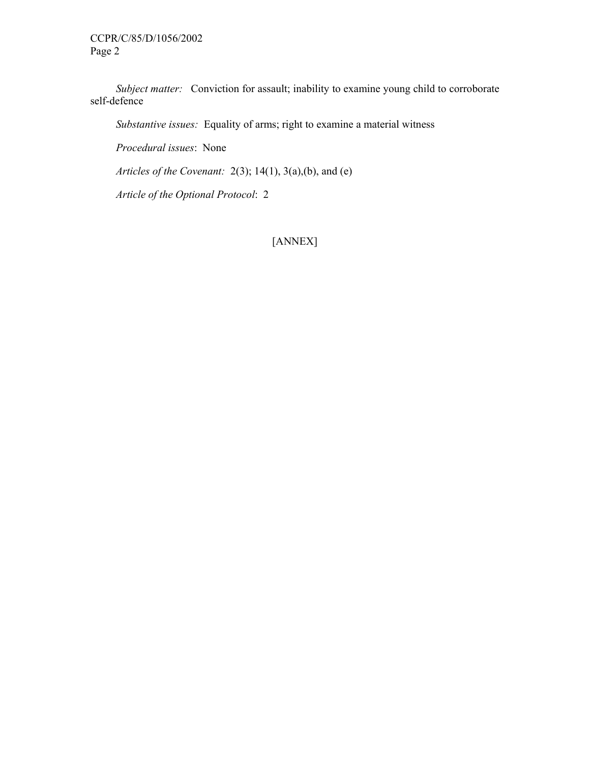*Subject matter:* Conviction for assault; inability to examine young child to corroborate self-defence

 *Substantive issues:* Equality of arms; right to examine a material witness

 *Procedural issues*: None

 *Articles of the Covenant:* 2(3); 14(1), 3(a),(b), and (e)

*Article of the Optional Protocol*: 2

[ANNEX]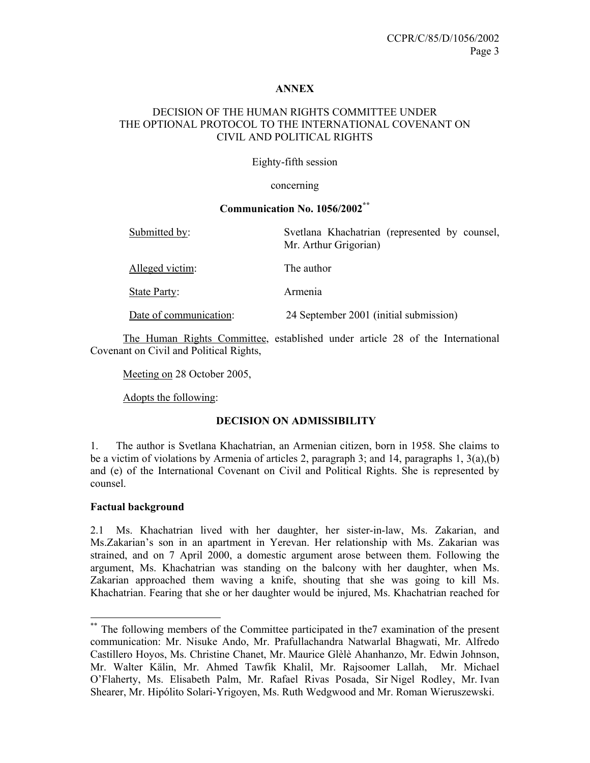#### **ANNEX**

## DECISION OF THE HUMAN RIGHTS COMMITTEE UNDER THE OPTIONAL PROTOCOL TO THE INTERNATIONAL COVENANT ON CIVIL AND POLITICAL RIGHTS

#### Eighty-fifth session

#### concerning

## **Communication No. 1056/2002\*\***

| Submitted by:          | Svetlana Khachatrian (represented by counsel,<br>Mr. Arthur Grigorian) |
|------------------------|------------------------------------------------------------------------|
| Alleged victim:        | The author                                                             |
| State Party:           | Armenia                                                                |
| Date of communication: | 24 September 2001 (initial submission)                                 |

 The Human Rights Committee, established under article 28 of the International Covenant on Civil and Political Rights,

Meeting on 28 October 2005,

Adopts the following:

#### **DECISION ON ADMISSIBILITY**

1. The author is Svetlana Khachatrian, an Armenian citizen, born in 1958. She claims to be a victim of violations by Armenia of articles 2, paragraph 3; and 14, paragraphs 1, 3(a),(b) and (e) of the International Covenant on Civil and Political Rights. She is represented by counsel.

#### **Factual background**

-

2.1 Ms. Khachatrian lived with her daughter, her sister-in-law, Ms. Zakarian, and Ms.Zakarian's son in an apartment in Yerevan. Her relationship with Ms. Zakarian was strained, and on 7 April 2000, a domestic argument arose between them. Following the argument, Ms. Khachatrian was standing on the balcony with her daughter, when Ms. Zakarian approached them waving a knife, shouting that she was going to kill Ms. Khachatrian. Fearing that she or her daughter would be injured, Ms. Khachatrian reached for

<sup>\*\*</sup> The following members of the Committee participated in the7 examination of the present communication: Mr. Nisuke Ando, Mr. Prafullachandra Natwarlal Bhagwati, Mr. Alfredo Castillero Hoyos, Ms. Christine Chanet, Mr. Maurice Glèlè Ahanhanzo, Mr. Edwin Johnson, Mr. Walter Kälin, Mr. Ahmed Tawfik Khalil, Mr. Rajsoomer Lallah, Mr. Michael O'Flaherty, Ms. Elisabeth Palm, Mr. Rafael Rivas Posada, Sir Nigel Rodley, Mr. Ivan Shearer, Mr. Hipólito Solari-Yrigoyen, Ms. Ruth Wedgwood and Mr. Roman Wieruszewski.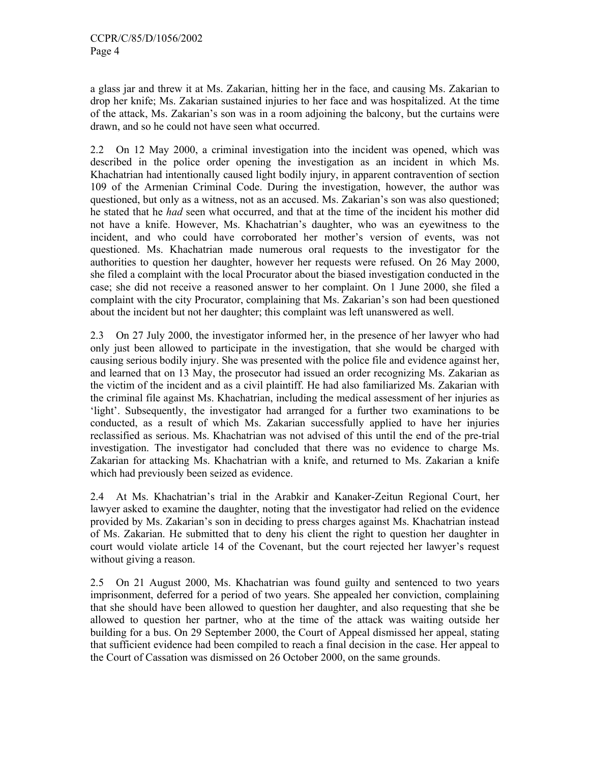a glass jar and threw it at Ms. Zakarian, hitting her in the face, and causing Ms. Zakarian to drop her knife; Ms. Zakarian sustained injuries to her face and was hospitalized. At the time of the attack, Ms. Zakarian's son was in a room adjoining the balcony, but the curtains were drawn, and so he could not have seen what occurred.

2.2 On 12 May 2000, a criminal investigation into the incident was opened, which was described in the police order opening the investigation as an incident in which Ms. Khachatrian had intentionally caused light bodily injury, in apparent contravention of section 109 of the Armenian Criminal Code. During the investigation, however, the author was questioned, but only as a witness, not as an accused. Ms. Zakarian's son was also questioned; he stated that he *had* seen what occurred, and that at the time of the incident his mother did not have a knife. However, Ms. Khachatrian's daughter, who was an eyewitness to the incident, and who could have corroborated her mother's version of events, was not questioned. Ms. Khachatrian made numerous oral requests to the investigator for the authorities to question her daughter, however her requests were refused. On 26 May 2000, she filed a complaint with the local Procurator about the biased investigation conducted in the case; she did not receive a reasoned answer to her complaint. On 1 June 2000, she filed a complaint with the city Procurator, complaining that Ms. Zakarian's son had been questioned about the incident but not her daughter; this complaint was left unanswered as well.

2.3 On 27 July 2000, the investigator informed her, in the presence of her lawyer who had only just been allowed to participate in the investigation, that she would be charged with causing serious bodily injury. She was presented with the police file and evidence against her, and learned that on 13 May, the prosecutor had issued an order recognizing Ms. Zakarian as the victim of the incident and as a civil plaintiff. He had also familiarized Ms. Zakarian with the criminal file against Ms. Khachatrian, including the medical assessment of her injuries as 'light'. Subsequently, the investigator had arranged for a further two examinations to be conducted, as a result of which Ms. Zakarian successfully applied to have her injuries reclassified as serious. Ms. Khachatrian was not advised of this until the end of the pre-trial investigation. The investigator had concluded that there was no evidence to charge Ms. Zakarian for attacking Ms. Khachatrian with a knife, and returned to Ms. Zakarian a knife which had previously been seized as evidence.

2.4 At Ms. Khachatrian's trial in the Arabkir and Kanaker-Zeitun Regional Court, her lawyer asked to examine the daughter, noting that the investigator had relied on the evidence provided by Ms. Zakarian's son in deciding to press charges against Ms. Khachatrian instead of Ms. Zakarian. He submitted that to deny his client the right to question her daughter in court would violate article 14 of the Covenant, but the court rejected her lawyer's request without giving a reason.

2.5 On 21 August 2000, Ms. Khachatrian was found guilty and sentenced to two years imprisonment, deferred for a period of two years. She appealed her conviction, complaining that she should have been allowed to question her daughter, and also requesting that she be allowed to question her partner, who at the time of the attack was waiting outside her building for a bus. On 29 September 2000, the Court of Appeal dismissed her appeal, stating that sufficient evidence had been compiled to reach a final decision in the case. Her appeal to the Court of Cassation was dismissed on 26 October 2000, on the same grounds.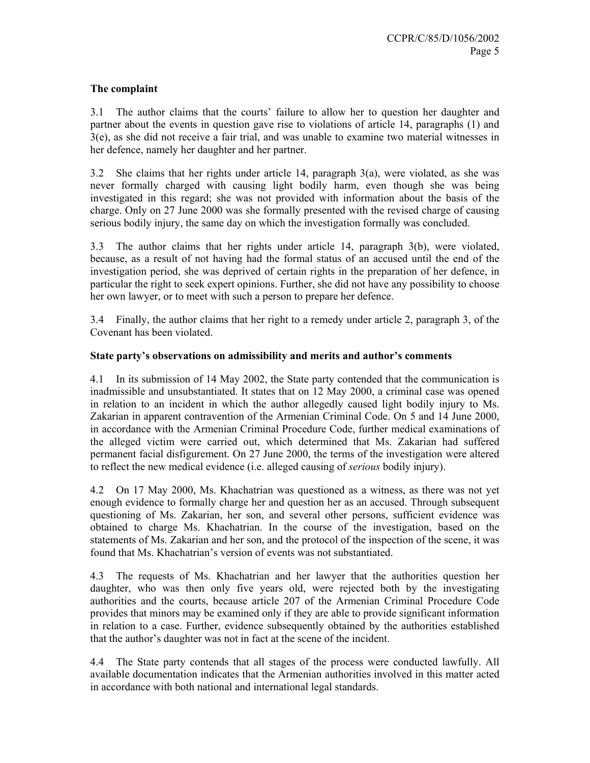## **The complaint**

3.1 The author claims that the courts' failure to allow her to question her daughter and partner about the events in question gave rise to violations of article 14, paragraphs (1) and 3(e), as she did not receive a fair trial, and was unable to examine two material witnesses in her defence, namely her daughter and her partner.

3.2 She claims that her rights under article 14, paragraph 3(a), were violated, as she was never formally charged with causing light bodily harm, even though she was being investigated in this regard; she was not provided with information about the basis of the charge. Only on 27 June 2000 was she formally presented with the revised charge of causing serious bodily injury, the same day on which the investigation formally was concluded.

3.3 The author claims that her rights under article 14, paragraph 3(b), were violated, because, as a result of not having had the formal status of an accused until the end of the investigation period, she was deprived of certain rights in the preparation of her defence, in particular the right to seek expert opinions. Further, she did not have any possibility to choose her own lawyer, or to meet with such a person to prepare her defence.

3.4 Finally, the author claims that her right to a remedy under article 2, paragraph 3, of the Covenant has been violated.

#### **State party's observations on admissibility and merits and author's comments**

4.1 In its submission of 14 May 2002, the State party contended that the communication is inadmissible and unsubstantiated. It states that on 12 May 2000, a criminal case was opened in relation to an incident in which the author allegedly caused light bodily injury to Ms. Zakarian in apparent contravention of the Armenian Criminal Code. On 5 and 14 June 2000, in accordance with the Armenian Criminal Procedure Code, further medical examinations of the alleged victim were carried out, which determined that Ms. Zakarian had suffered permanent facial disfigurement. On 27 June 2000, the terms of the investigation were altered to reflect the new medical evidence (i.e. alleged causing of *serious* bodily injury).

4.2 On 17 May 2000, Ms. Khachatrian was questioned as a witness, as there was not yet enough evidence to formally charge her and question her as an accused. Through subsequent questioning of Ms. Zakarian, her son, and several other persons, sufficient evidence was obtained to charge Ms. Khachatrian. In the course of the investigation, based on the statements of Ms. Zakarian and her son, and the protocol of the inspection of the scene, it was found that Ms. Khachatrian's version of events was not substantiated.

4.3 The requests of Ms. Khachatrian and her lawyer that the authorities question her daughter, who was then only five years old, were rejected both by the investigating authorities and the courts, because article 207 of the Armenian Criminal Procedure Code provides that minors may be examined only if they are able to provide significant information in relation to a case. Further, evidence subsequently obtained by the authorities established that the author's daughter was not in fact at the scene of the incident.

4.4 The State party contends that all stages of the process were conducted lawfully. All available documentation indicates that the Armenian authorities involved in this matter acted in accordance with both national and international legal standards.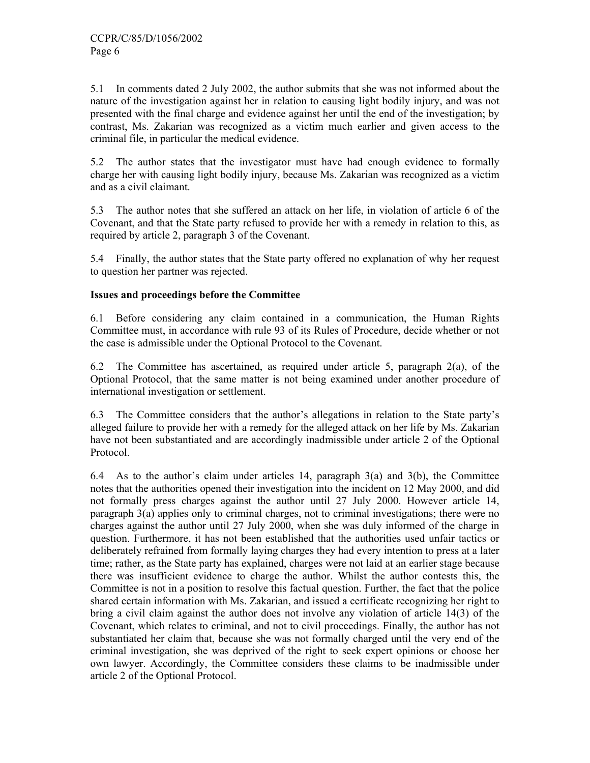5.1 In comments dated 2 July 2002, the author submits that she was not informed about the nature of the investigation against her in relation to causing light bodily injury, and was not presented with the final charge and evidence against her until the end of the investigation; by contrast, Ms. Zakarian was recognized as a victim much earlier and given access to the criminal file, in particular the medical evidence.

5.2 The author states that the investigator must have had enough evidence to formally charge her with causing light bodily injury, because Ms. Zakarian was recognized as a victim and as a civil claimant.

5.3 The author notes that she suffered an attack on her life, in violation of article 6 of the Covenant, and that the State party refused to provide her with a remedy in relation to this, as required by article 2, paragraph 3 of the Covenant.

5.4 Finally, the author states that the State party offered no explanation of why her request to question her partner was rejected.

## **Issues and proceedings before the Committee**

6.1 Before considering any claim contained in a communication, the Human Rights Committee must, in accordance with rule 93 of its Rules of Procedure, decide whether or not the case is admissible under the Optional Protocol to the Covenant.

6.2 The Committee has ascertained, as required under article 5, paragraph 2(a), of the Optional Protocol, that the same matter is not being examined under another procedure of international investigation or settlement.

6.3 The Committee considers that the author's allegations in relation to the State party's alleged failure to provide her with a remedy for the alleged attack on her life by Ms. Zakarian have not been substantiated and are accordingly inadmissible under article 2 of the Optional Protocol.

6.4 As to the author's claim under articles 14, paragraph 3(a) and 3(b), the Committee notes that the authorities opened their investigation into the incident on 12 May 2000, and did not formally press charges against the author until 27 July 2000. However article 14, paragraph 3(a) applies only to criminal charges, not to criminal investigations; there were no charges against the author until 27 July 2000, when she was duly informed of the charge in question. Furthermore, it has not been established that the authorities used unfair tactics or deliberately refrained from formally laying charges they had every intention to press at a later time; rather, as the State party has explained, charges were not laid at an earlier stage because there was insufficient evidence to charge the author. Whilst the author contests this, the Committee is not in a position to resolve this factual question. Further, the fact that the police shared certain information with Ms. Zakarian, and issued a certificate recognizing her right to bring a civil claim against the author does not involve any violation of article 14(3) of the Covenant, which relates to criminal, and not to civil proceedings. Finally, the author has not substantiated her claim that, because she was not formally charged until the very end of the criminal investigation, she was deprived of the right to seek expert opinions or choose her own lawyer. Accordingly, the Committee considers these claims to be inadmissible under article 2 of the Optional Protocol.